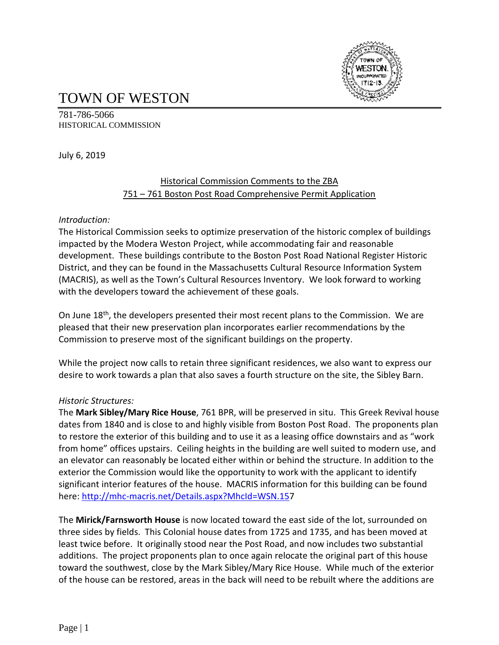

# TOWN OF WESTON

781-786-5066 HISTORICAL COMMISSION

July 6, 2019

## Historical Commission Comments to the ZBA 751 – 761 Boston Post Road Comprehensive Permit Application

### *Introduction:*

The Historical Commission seeks to optimize preservation of the historic complex of buildings impacted by the Modera Weston Project, while accommodating fair and reasonable development. These buildings contribute to the Boston Post Road National Register Historic District, and they can be found in the Massachusetts Cultural Resource Information System (MACRIS), as well as the Town's Cultural Resources Inventory. We look forward to working with the developers toward the achievement of these goals.

On June 18<sup>th</sup>, the developers presented their most recent plans to the Commission. We are pleased that their new preservation plan incorporates earlier recommendations by the Commission to preserve most of the significant buildings on the property.

While the project now calls to retain three significant residences, we also want to express our desire to work towards a plan that also saves a fourth structure on the site, the Sibley Barn.

### *Historic Structures:*

The **Mark Sibley/Mary Rice House**, 761 BPR, will be preserved in situ. This Greek Revival house dates from 1840 and is close to and highly visible from Boston Post Road. The proponents plan to restore the exterior of this building and to use it as a leasing office downstairs and as "work from home" offices upstairs. Ceiling heights in the building are well suited to modern use, and an elevator can reasonably be located either within or behind the structure. In addition to the exterior the Commission would like the opportunity to work with the applicant to identify significant interior features of the house. MACRIS information for this building can be found here: [http://mhc-macris.net/Details.aspx?MhcId=WSN.157](http://mhc-macris.net/Details.aspx?MhcId=WSN.15)

The **Mirick/Farnsworth House** is now located toward the east side of the lot, surrounded on three sides by fields. This Colonial house dates from 1725 and 1735, and has been moved at least twice before. It originally stood near the Post Road, and now includes two substantial additions. The project proponents plan to once again relocate the original part of this house toward the southwest, close by the Mark Sibley/Mary Rice House. While much of the exterior of the house can be restored, areas in the back will need to be rebuilt where the additions are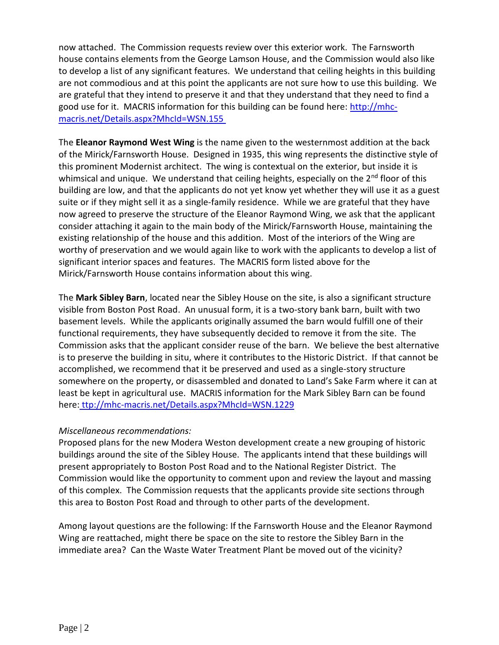now attached. The Commission requests review over this exterior work. The Farnsworth house contains elements from the George Lamson House, and the Commission would also like to develop a list of any significant features. We understand that ceiling heights in this building are not commodious and at this point the applicants are not sure how to use this building. We are grateful that they intend to preserve it and that they understand that they need to find a good use for it. MACRIS information for this building can be found here: [http://mhc](http://mhc-macris.net/Details.aspx?MhcId=WSN.155)[macris.net/Details.aspx?MhcId=WSN.155](http://mhc-macris.net/Details.aspx?MhcId=WSN.155)

The **Eleanor Raymond West Wing** is the name given to the westernmost addition at the back of the Mirick/Farnsworth House. Designed in 1935, this wing represents the distinctive style of this prominent Modernist architect. The wing is contextual on the exterior, but inside it is whimsical and unique. We understand that ceiling heights, especially on the 2<sup>nd</sup> floor of this building are low, and that the applicants do not yet know yet whether they will use it as a guest suite or if they might sell it as a single-family residence. While we are grateful that they have now agreed to preserve the structure of the Eleanor Raymond Wing, we ask that the applicant consider attaching it again to the main body of the Mirick/Farnsworth House, maintaining the existing relationship of the house and this addition. Most of the interiors of the Wing are worthy of preservation and we would again like to work with the applicants to develop a list of significant interior spaces and features. The MACRIS form listed above for the Mirick/Farnsworth House contains information about this wing.

The **Mark Sibley Barn**, located near the Sibley House on the site, is also a significant structure visible from Boston Post Road. An unusual form, it is a two-story bank barn, built with two basement levels. While the applicants originally assumed the barn would fulfill one of their functional requirements, they have subsequently decided to remove it from the site. The Commission asks that the applicant consider reuse of the barn. We believe the best alternative is to preserve the building in situ, where it contributes to the Historic District. If that cannot be accomplished, we recommend that it be preserved and used as a single-story structure somewhere on the property, or disassembled and donated to Land's Sake Farm where it can at least be kept in agricultural use. MACRIS information for the Mark Sibley Barn can be found here: ttp://mhc-macris.net/Details.aspx?MhcId=WSN.1229

#### *Miscellaneous recommendations:*

Proposed plans for the new Modera Weston development create a new grouping of historic buildings around the site of the Sibley House. The applicants intend that these buildings will present appropriately to Boston Post Road and to the National Register District. The Commission would like the opportunity to comment upon and review the layout and massing of this complex. The Commission requests that the applicants provide site sections through this area to Boston Post Road and through to other parts of the development.

Among layout questions are the following: If the Farnsworth House and the Eleanor Raymond Wing are reattached, might there be space on the site to restore the Sibley Barn in the immediate area? Can the Waste Water Treatment Plant be moved out of the vicinity?